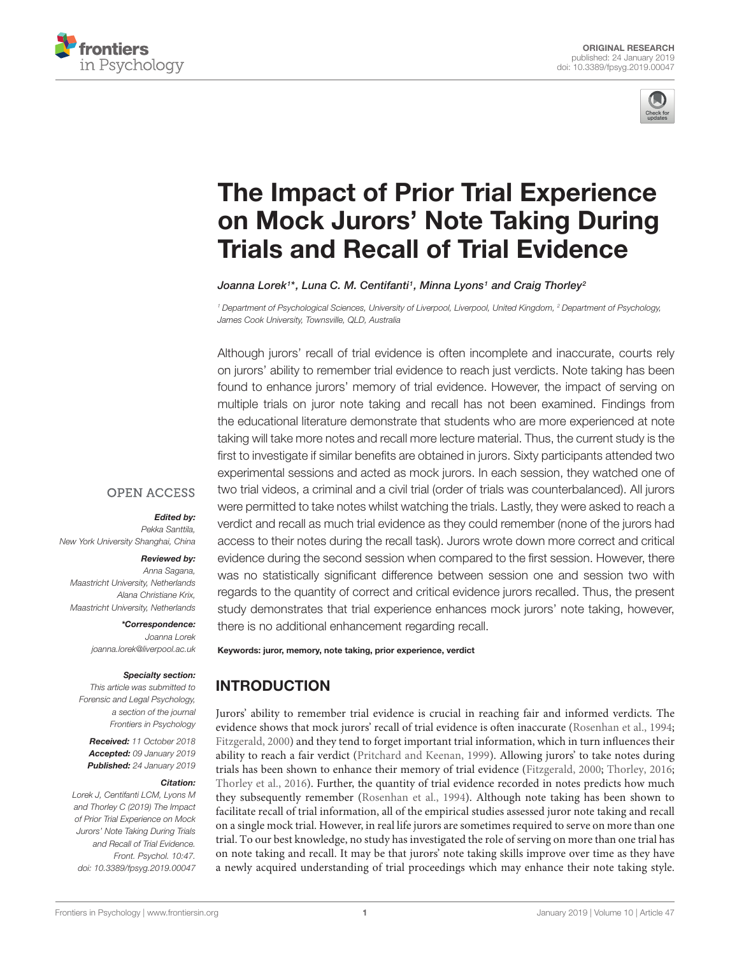



# The Impact of Prior Trial Experience [on Mock Jurors' Note Taking During](https://www.frontiersin.org/articles/10.3389/fpsyg.2019.00047/full) Trials and Recall of Trial Evidence

[Joanna Lorek](http://loop.frontiersin.org/people/623755/overview)1\*, [Luna C. M. Centifanti](http://loop.frontiersin.org/people/661121/overview)1, Minna Lyons1 and [Craig Thorley](http://loop.frontiersin.org/people/537877/overview)2

<sup>1</sup> Department of Psychological Sciences, University of Liverpool, Liverpool, United Kingdom, <sup>2</sup> Department of Psychology, James Cook University, Townsville, QLD, Australia

Although jurors' recall of trial evidence is often incomplete and inaccurate, courts rely on jurors' ability to remember trial evidence to reach just verdicts. Note taking has been found to enhance jurors' memory of trial evidence. However, the impact of serving on multiple trials on juror note taking and recall has not been examined. Findings from the educational literature demonstrate that students who are more experienced at note taking will take more notes and recall more lecture material. Thus, the current study is the first to investigate if similar benefits are obtained in jurors. Sixty participants attended two experimental sessions and acted as mock jurors. In each session, they watched one of two trial videos, a criminal and a civil trial (order of trials was counterbalanced). All jurors were permitted to take notes whilst watching the trials. Lastly, they were asked to reach a verdict and recall as much trial evidence as they could remember (none of the jurors had access to their notes during the recall task). Jurors wrote down more correct and critical evidence during the second session when compared to the first session. However, there was no statistically significant difference between session one and session two with regards to the quantity of correct and critical evidence jurors recalled. Thus, the present study demonstrates that trial experience enhances mock jurors' note taking, however, there is no additional enhancement regarding recall.

**OPEN ACCESS** 

#### Edited by:

Pekka Santtila, New York University Shanghai, China

#### Reviewed by:

Anna Sagana, Maastricht University, Netherlands Alana Christiane Krix, Maastricht University, Netherlands

> \*Correspondence: Joanna Lorek joanna.lorek@liverpool.ac.uk

#### Specialty section:

This article was submitted to Forensic and Legal Psychology, a section of the journal Frontiers in Psychology

Received: 11 October 2018 Accepted: 09 January 2019 Published: 24 January 2019

#### Citation:

Lorek J, Centifanti LCM, Lyons M and Thorley C (2019) The Impact of Prior Trial Experience on Mock Jurors' Note Taking During Trials and Recall of Trial Evidence. Front. Psychol. 10:47. doi: [10.3389/fpsyg.2019.00047](https://doi.org/10.3389/fpsyg.2019.00047)

Keywords: juror, memory, note taking, prior experience, verdict

# INTRODUCTION

Jurors' ability to remember trial evidence is crucial in reaching fair and informed verdicts. The evidence shows that mock jurors' recall of trial evidence is often inaccurate [\(Rosenhan et al.,](#page-8-0) [1994;](#page-8-0) [Fitzgerald,](#page-7-0) [2000\)](#page-7-0) and they tend to forget important trial information, which in turn influences their ability to reach a fair verdict [\(Pritchard and Keenan,](#page-8-1) [1999\)](#page-8-1). Allowing jurors' to take notes during trials has been shown to enhance their memory of trial evidence [\(Fitzgerald,](#page-7-0) [2000;](#page-7-0) [Thorley,](#page-8-2) [2016;](#page-8-2) [Thorley et al.,](#page-8-3) [2016\)](#page-8-3). Further, the quantity of trial evidence recorded in notes predicts how much they subsequently remember [\(Rosenhan et al.,](#page-8-0) [1994\)](#page-8-0). Although note taking has been shown to facilitate recall of trial information, all of the empirical studies assessed juror note taking and recall on a single mock trial. However, in real life jurors are sometimes required to serve on more than one trial. To our best knowledge, no study has investigated the role of serving on more than one trial has on note taking and recall. It may be that jurors' note taking skills improve over time as they have a newly acquired understanding of trial proceedings which may enhance their note taking style.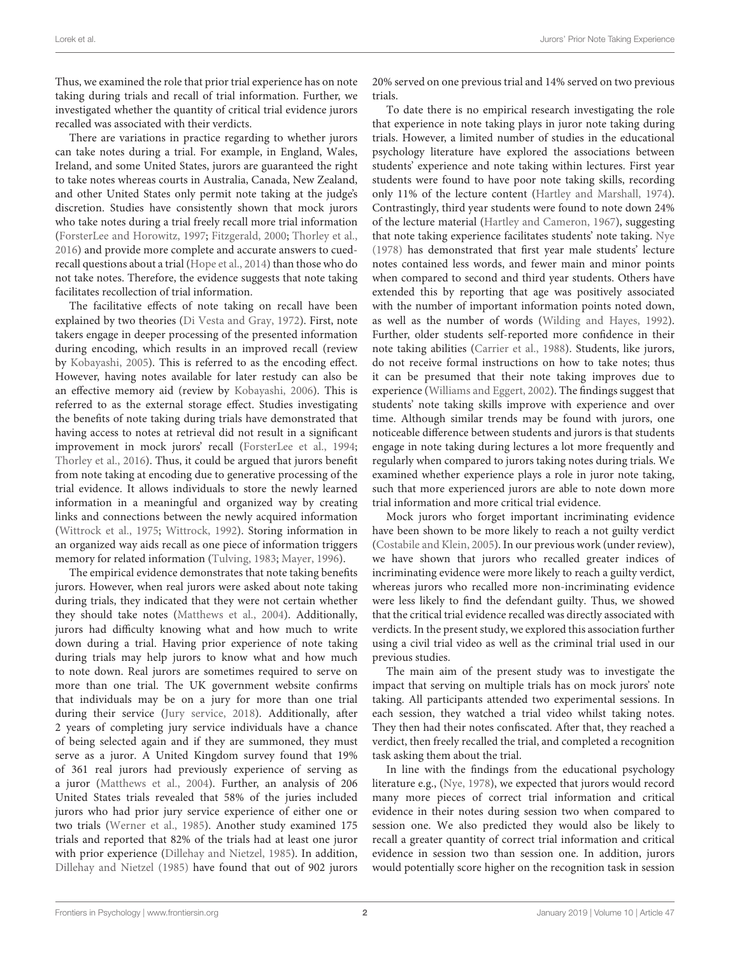Thus, we examined the role that prior trial experience has on note taking during trials and recall of trial information. Further, we investigated whether the quantity of critical trial evidence jurors recalled was associated with their verdicts.

There are variations in practice regarding to whether jurors can take notes during a trial. For example, in England, Wales, Ireland, and some United States, jurors are guaranteed the right to take notes whereas courts in Australia, Canada, New Zealand, and other United States only permit note taking at the judge's discretion. Studies have consistently shown that mock jurors who take notes during a trial freely recall more trial information [\(ForsterLee and Horowitz,](#page-7-1) [1997;](#page-7-1) [Fitzgerald,](#page-7-0) [2000;](#page-7-0) [Thorley et al.,](#page-8-3) [2016\)](#page-8-3) and provide more complete and accurate answers to cuedrecall questions about a trial [\(Hope et al.,](#page-7-2) [2014\)](#page-7-2) than those who do not take notes. Therefore, the evidence suggests that note taking facilitates recollection of trial information.

The facilitative effects of note taking on recall have been explained by two theories [\(Di Vesta and Gray,](#page-7-3) [1972\)](#page-7-3). First, note takers engage in deeper processing of the presented information during encoding, which results in an improved recall (review by [Kobayashi,](#page-7-4) [2005\)](#page-7-4). This is referred to as the encoding effect. However, having notes available for later restudy can also be an effective memory aid (review by [Kobayashi,](#page-8-4) [2006\)](#page-8-4). This is referred to as the external storage effect. Studies investigating the benefits of note taking during trials have demonstrated that having access to notes at retrieval did not result in a significant improvement in mock jurors' recall [\(ForsterLee et al.,](#page-7-5) [1994;](#page-7-5) [Thorley et al.,](#page-8-3) [2016\)](#page-8-3). Thus, it could be argued that jurors benefit from note taking at encoding due to generative processing of the trial evidence. It allows individuals to store the newly learned information in a meaningful and organized way by creating links and connections between the newly acquired information [\(Wittrock et al.,](#page-8-5) [1975;](#page-8-5) [Wittrock,](#page-8-6) [1992\)](#page-8-6). Storing information in an organized way aids recall as one piece of information triggers memory for related information [\(Tulving,](#page-8-7) [1983;](#page-8-7) [Mayer,](#page-8-8) [1996\)](#page-8-8).

The empirical evidence demonstrates that note taking benefits jurors. However, when real jurors were asked about note taking during trials, they indicated that they were not certain whether they should take notes [\(Matthews et al.,](#page-8-9) [2004\)](#page-8-9). Additionally, jurors had difficulty knowing what and how much to write down during a trial. Having prior experience of note taking during trials may help jurors to know what and how much to note down. Real jurors are sometimes required to serve on more than one trial. The UK government website confirms that individuals may be on a jury for more than one trial during their service [\(Jury service,](#page-7-6) [2018\)](#page-7-6). Additionally, after 2 years of completing jury service individuals have a chance of being selected again and if they are summoned, they must serve as a juror. A United Kingdom survey found that 19% of 361 real jurors had previously experience of serving as a juror [\(Matthews et al.,](#page-8-9) [2004\)](#page-8-9). Further, an analysis of 206 United States trials revealed that 58% of the juries included jurors who had prior jury service experience of either one or two trials [\(Werner et al.,](#page-8-10) [1985\)](#page-8-10). Another study examined 175 trials and reported that 82% of the trials had at least one juror with prior experience [\(Dillehay and Nietzel,](#page-7-7) [1985\)](#page-7-7). In addition, [Dillehay and Nietzel](#page-7-7) [\(1985\)](#page-7-7) have found that out of 902 jurors

20% served on one previous trial and 14% served on two previous trials.

To date there is no empirical research investigating the role that experience in note taking plays in juror note taking during trials. However, a limited number of studies in the educational psychology literature have explored the associations between students' experience and note taking within lectures. First year students were found to have poor note taking skills, recording only 11% of the lecture content [\(Hartley and Marshall,](#page-7-8) [1974\)](#page-7-8). Contrastingly, third year students were found to note down 24% of the lecture material [\(Hartley and Cameron,](#page-7-9) [1967\)](#page-7-9), suggesting that note taking experience facilitates students' note taking. [Nye](#page-8-11) [\(1978\)](#page-8-11) has demonstrated that first year male students' lecture notes contained less words, and fewer main and minor points when compared to second and third year students. Others have extended this by reporting that age was positively associated with the number of important information points noted down, as well as the number of words [\(Wilding and Hayes,](#page-8-12) [1992\)](#page-8-12). Further, older students self-reported more confidence in their note taking abilities [\(Carrier et al.,](#page-7-10) [1988\)](#page-7-10). Students, like jurors, do not receive formal instructions on how to take notes; thus it can be presumed that their note taking improves due to experience [\(Williams and Eggert,](#page-8-13) [2002\)](#page-8-13). The findings suggest that students' note taking skills improve with experience and over time. Although similar trends may be found with jurors, one noticeable difference between students and jurors is that students engage in note taking during lectures a lot more frequently and regularly when compared to jurors taking notes during trials. We examined whether experience plays a role in juror note taking, such that more experienced jurors are able to note down more trial information and more critical trial evidence.

Mock jurors who forget important incriminating evidence have been shown to be more likely to reach a not guilty verdict [\(Costabile and Klein,](#page-7-11) [2005\)](#page-7-11). In our previous work (under review), we have shown that jurors who recalled greater indices of incriminating evidence were more likely to reach a guilty verdict, whereas jurors who recalled more non-incriminating evidence were less likely to find the defendant guilty. Thus, we showed that the critical trial evidence recalled was directly associated with verdicts. In the present study, we explored this association further using a civil trial video as well as the criminal trial used in our previous studies.

The main aim of the present study was to investigate the impact that serving on multiple trials has on mock jurors' note taking. All participants attended two experimental sessions. In each session, they watched a trial video whilst taking notes. They then had their notes confiscated. After that, they reached a verdict, then freely recalled the trial, and completed a recognition task asking them about the trial.

In line with the findings from the educational psychology literature e.g., [\(Nye,](#page-8-11) [1978\)](#page-8-11), we expected that jurors would record many more pieces of correct trial information and critical evidence in their notes during session two when compared to session one. We also predicted they would also be likely to recall a greater quantity of correct trial information and critical evidence in session two than session one. In addition, jurors would potentially score higher on the recognition task in session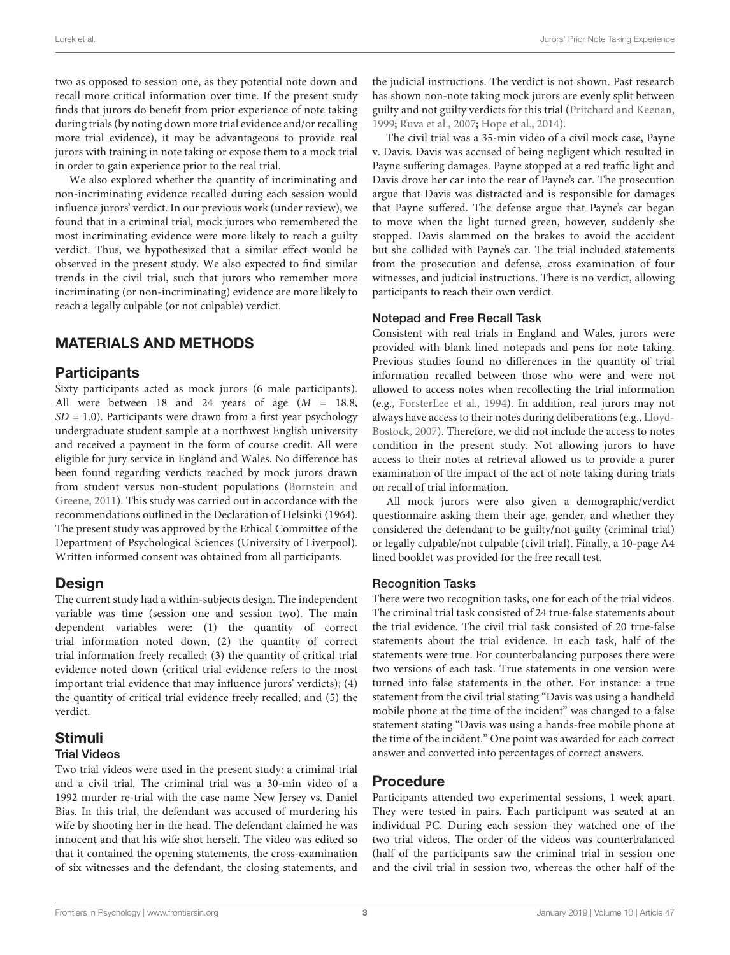two as opposed to session one, as they potential note down and recall more critical information over time. If the present study finds that jurors do benefit from prior experience of note taking during trials (by noting down more trial evidence and/or recalling more trial evidence), it may be advantageous to provide real jurors with training in note taking or expose them to a mock trial in order to gain experience prior to the real trial.

We also explored whether the quantity of incriminating and non-incriminating evidence recalled during each session would influence jurors' verdict. In our previous work (under review), we found that in a criminal trial, mock jurors who remembered the most incriminating evidence were more likely to reach a guilty verdict. Thus, we hypothesized that a similar effect would be observed in the present study. We also expected to find similar trends in the civil trial, such that jurors who remember more incriminating (or non-incriminating) evidence are more likely to reach a legally culpable (or not culpable) verdict.

# MATERIALS AND METHODS

## **Participants**

Sixty participants acted as mock jurors (6 male participants). All were between  $18$  and  $24$  years of age  $(M = 18.8,$  $SD = 1.0$ ). Participants were drawn from a first year psychology undergraduate student sample at a northwest English university and received a payment in the form of course credit. All were eligible for jury service in England and Wales. No difference has been found regarding verdicts reached by mock jurors drawn from student versus non-student populations [\(Bornstein and](#page-7-12) [Greene,](#page-7-12) [2011\)](#page-7-12). This study was carried out in accordance with the recommendations outlined in the Declaration of Helsinki (1964). The present study was approved by the Ethical Committee of the Department of Psychological Sciences (University of Liverpool). Written informed consent was obtained from all participants.

# Design

The current study had a within-subjects design. The independent variable was time (session one and session two). The main dependent variables were: (1) the quantity of correct trial information noted down, (2) the quantity of correct trial information freely recalled; (3) the quantity of critical trial evidence noted down (critical trial evidence refers to the most important trial evidence that may influence jurors' verdicts); (4) the quantity of critical trial evidence freely recalled; and (5) the verdict.

# Stimuli

#### Trial Videos

Two trial videos were used in the present study: a criminal trial and a civil trial. The criminal trial was a 30-min video of a 1992 murder re-trial with the case name New Jersey vs. Daniel Bias. In this trial, the defendant was accused of murdering his wife by shooting her in the head. The defendant claimed he was innocent and that his wife shot herself. The video was edited so that it contained the opening statements, the cross-examination of six witnesses and the defendant, the closing statements, and

the judicial instructions. The verdict is not shown. Past research has shown non-note taking mock jurors are evenly split between guilty and not guilty verdicts for this trial [\(Pritchard and Keenan,](#page-8-1) [1999;](#page-8-1) [Ruva et al.,](#page-8-14) [2007;](#page-8-14) [Hope et al.,](#page-7-2) [2014\)](#page-7-2).

The civil trial was a 35-min video of a civil mock case, Payne v. Davis. Davis was accused of being negligent which resulted in Payne suffering damages. Payne stopped at a red traffic light and Davis drove her car into the rear of Payne's car. The prosecution argue that Davis was distracted and is responsible for damages that Payne suffered. The defense argue that Payne's car began to move when the light turned green, however, suddenly she stopped. Davis slammed on the brakes to avoid the accident but she collided with Payne's car. The trial included statements from the prosecution and defense, cross examination of four witnesses, and judicial instructions. There is no verdict, allowing participants to reach their own verdict.

#### Notepad and Free Recall Task

Consistent with real trials in England and Wales, jurors were provided with blank lined notepads and pens for note taking. Previous studies found no differences in the quantity of trial information recalled between those who were and were not allowed to access notes when recollecting the trial information (e.g., [ForsterLee et al.,](#page-7-5) [1994\)](#page-7-5). In addition, real jurors may not always have access to their notes during deliberations (e.g., [Lloyd-](#page-8-15)[Bostock,](#page-8-15) [2007\)](#page-8-15). Therefore, we did not include the access to notes condition in the present study. Not allowing jurors to have access to their notes at retrieval allowed us to provide a purer examination of the impact of the act of note taking during trials on recall of trial information.

All mock jurors were also given a demographic/verdict questionnaire asking them their age, gender, and whether they considered the defendant to be guilty/not guilty (criminal trial) or legally culpable/not culpable (civil trial). Finally, a 10-page A4 lined booklet was provided for the free recall test.

#### Recognition Tasks

There were two recognition tasks, one for each of the trial videos. The criminal trial task consisted of 24 true-false statements about the trial evidence. The civil trial task consisted of 20 true-false statements about the trial evidence. In each task, half of the statements were true. For counterbalancing purposes there were two versions of each task. True statements in one version were turned into false statements in the other. For instance: a true statement from the civil trial stating "Davis was using a handheld mobile phone at the time of the incident" was changed to a false statement stating "Davis was using a hands-free mobile phone at the time of the incident." One point was awarded for each correct answer and converted into percentages of correct answers.

### Procedure

Participants attended two experimental sessions, 1 week apart. They were tested in pairs. Each participant was seated at an individual PC. During each session they watched one of the two trial videos. The order of the videos was counterbalanced (half of the participants saw the criminal trial in session one and the civil trial in session two, whereas the other half of the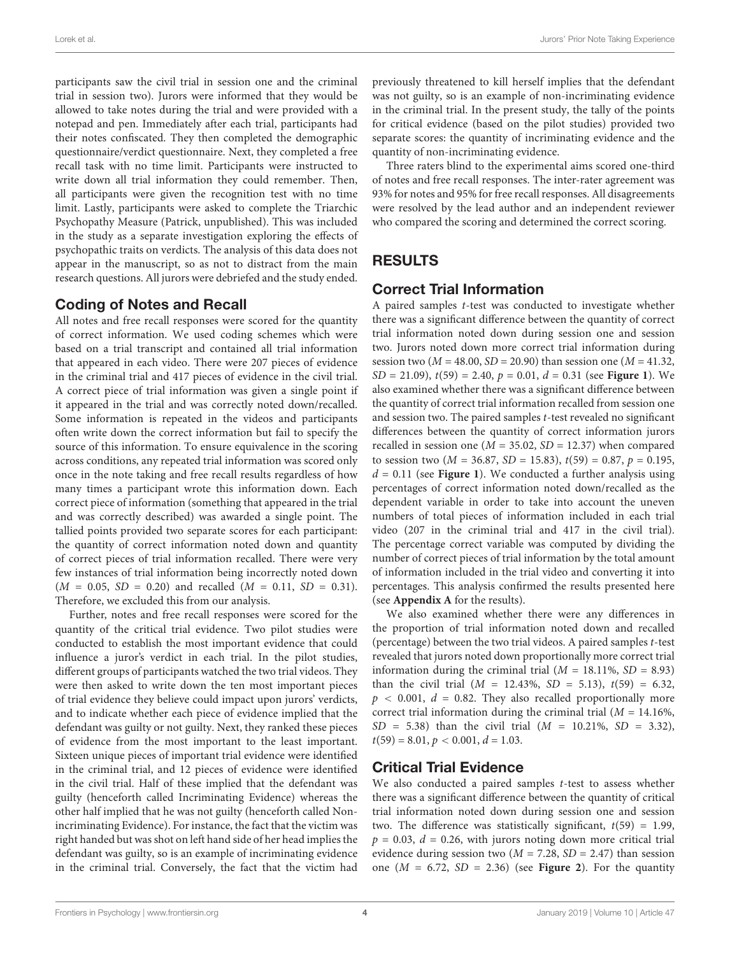participants saw the civil trial in session one and the criminal trial in session two). Jurors were informed that they would be allowed to take notes during the trial and were provided with a notepad and pen. Immediately after each trial, participants had their notes confiscated. They then completed the demographic questionnaire/verdict questionnaire. Next, they completed a free recall task with no time limit. Participants were instructed to write down all trial information they could remember. Then, all participants were given the recognition test with no time limit. Lastly, participants were asked to complete the Triarchic Psychopathy Measure (Patrick, unpublished). This was included in the study as a separate investigation exploring the effects of psychopathic traits on verdicts. The analysis of this data does not appear in the manuscript, so as not to distract from the main research questions. All jurors were debriefed and the study ended.

#### Coding of Notes and Recall

All notes and free recall responses were scored for the quantity of correct information. We used coding schemes which were based on a trial transcript and contained all trial information that appeared in each video. There were 207 pieces of evidence in the criminal trial and 417 pieces of evidence in the civil trial. A correct piece of trial information was given a single point if it appeared in the trial and was correctly noted down/recalled. Some information is repeated in the videos and participants often write down the correct information but fail to specify the source of this information. To ensure equivalence in the scoring across conditions, any repeated trial information was scored only once in the note taking and free recall results regardless of how many times a participant wrote this information down. Each correct piece of information (something that appeared in the trial and was correctly described) was awarded a single point. The tallied points provided two separate scores for each participant: the quantity of correct information noted down and quantity of correct pieces of trial information recalled. There were very few instances of trial information being incorrectly noted down  $(M = 0.05, SD = 0.20)$  and recalled  $(M = 0.11, SD = 0.31)$ . Therefore, we excluded this from our analysis.

Further, notes and free recall responses were scored for the quantity of the critical trial evidence. Two pilot studies were conducted to establish the most important evidence that could influence a juror's verdict in each trial. In the pilot studies, different groups of participants watched the two trial videos. They were then asked to write down the ten most important pieces of trial evidence they believe could impact upon jurors' verdicts, and to indicate whether each piece of evidence implied that the defendant was guilty or not guilty. Next, they ranked these pieces of evidence from the most important to the least important. Sixteen unique pieces of important trial evidence were identified in the criminal trial, and 12 pieces of evidence were identified in the civil trial. Half of these implied that the defendant was guilty (henceforth called Incriminating Evidence) whereas the other half implied that he was not guilty (henceforth called Nonincriminating Evidence). For instance, the fact that the victim was right handed but was shot on left hand side of her head implies the defendant was guilty, so is an example of incriminating evidence in the criminal trial. Conversely, the fact that the victim had

previously threatened to kill herself implies that the defendant was not guilty, so is an example of non-incriminating evidence in the criminal trial. In the present study, the tally of the points for critical evidence (based on the pilot studies) provided two separate scores: the quantity of incriminating evidence and the quantity of non-incriminating evidence.

Three raters blind to the experimental aims scored one-third of notes and free recall responses. The inter-rater agreement was 93% for notes and 95% for free recall responses. All disagreements were resolved by the lead author and an independent reviewer who compared the scoring and determined the correct scoring.

# RESULTS

## Correct Trial Information

A paired samples t-test was conducted to investigate whether there was a significant difference between the quantity of correct trial information noted down during session one and session two. Jurors noted down more correct trial information during session two ( $M = 48.00$ ,  $SD = 20.90$ ) than session one ( $M = 41.32$ ,  $SD = 21.09$ ,  $t(59) = 2.40$ ,  $p = 0.01$ ,  $d = 0.31$  (see **[Figure 1](#page-4-0)**). We also examined whether there was a significant difference between the quantity of correct trial information recalled from session one and session two. The paired samples t-test revealed no significant differences between the quantity of correct information jurors recalled in session one ( $M = 35.02$ ,  $SD = 12.37$ ) when compared to session two  $(M = 36.87, SD = 15.83), t(59) = 0.87, p = 0.195,$  $d = 0.11$  (see **[Figure 1](#page-4-0)**). We conducted a further analysis using percentages of correct information noted down/recalled as the dependent variable in order to take into account the uneven numbers of total pieces of information included in each trial video (207 in the criminal trial and 417 in the civil trial). The percentage correct variable was computed by dividing the number of correct pieces of trial information by the total amount of information included in the trial video and converting it into percentages. This analysis confirmed the results presented here (see **[Appendix A](#page-9-0)** for the results).

We also examined whether there were any differences in the proportion of trial information noted down and recalled (percentage) between the two trial videos. A paired samples t-test revealed that jurors noted down proportionally more correct trial information during the criminal trial  $(M = 18.11\%, SD = 8.93)$ than the civil trial  $(M = 12.43\%, SD = 5.13)$ ,  $t(59) = 6.32$ ,  $p < 0.001$ ,  $d = 0.82$ . They also recalled proportionally more correct trial information during the criminal trial  $(M = 14.16\%$ ,  $SD = 5.38$ ) than the civil trial  $(M = 10.21\%, SD = 3.32)$ ,  $t(59) = 8.01, p < 0.001, d = 1.03.$ 

# Critical Trial Evidence

We also conducted a paired samples *t*-test to assess whether there was a significant difference between the quantity of critical trial information noted down during session one and session two. The difference was statistically significant,  $t(59) = 1.99$ ,  $p = 0.03$ ,  $d = 0.26$ , with jurors noting down more critical trial evidence during session two  $(M = 7.28, SD = 2.47)$  than session one  $(M = 6.72, SD = 2.36)$  (see **[Figure 2](#page-4-1)**). For the quantity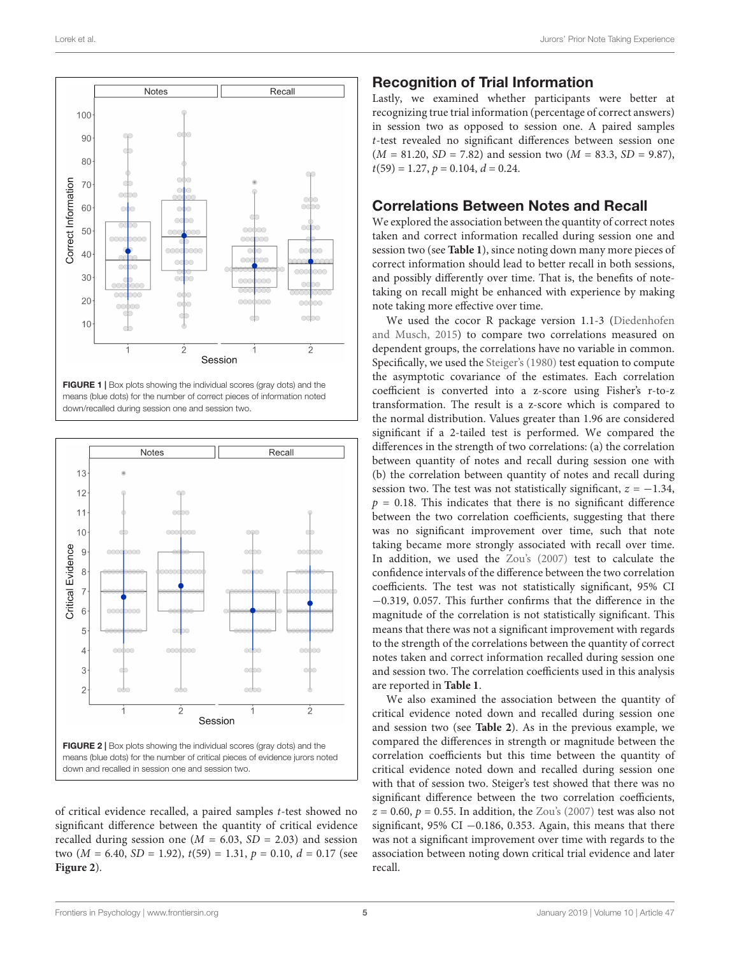

<span id="page-4-0"></span>



<span id="page-4-1"></span>of critical evidence recalled, a paired samples t-test showed no significant difference between the quantity of critical evidence recalled during session one ( $M = 6.03$ ,  $SD = 2.03$ ) and session two  $(M = 6.40, SD = 1.92), t(59) = 1.31, p = 0.10, d = 0.17$  (see **[Figure 2](#page-4-1)**).

#### Recognition of Trial Information

Lastly, we examined whether participants were better at recognizing true trial information (percentage of correct answers) in session two as opposed to session one. A paired samples t-test revealed no significant differences between session one  $(M = 81.20, SD = 7.82)$  and session two  $(M = 83.3, SD = 9.87)$ ,  $t(59) = 1.27, p = 0.104, d = 0.24.$ 

#### Correlations Between Notes and Recall

We explored the association between the quantity of correct notes taken and correct information recalled during session one and session two (see **[Table 1](#page-5-0)**), since noting down many more pieces of correct information should lead to better recall in both sessions, and possibly differently over time. That is, the benefits of notetaking on recall might be enhanced with experience by making note taking more effective over time.

We used the cocor R package version 1.1-3 [\(Diedenhofen](#page-7-13) [and Musch,](#page-7-13) [2015\)](#page-7-13) to compare two correlations measured on dependent groups, the correlations have no variable in common. Specifically, we used the [Steiger's](#page-8-16) [\(1980\)](#page-8-16) test equation to compute the asymptotic covariance of the estimates. Each correlation coefficient is converted into a z-score using Fisher's r-to-z transformation. The result is a z-score which is compared to the normal distribution. Values greater than 1.96 are considered significant if a 2-tailed test is performed. We compared the differences in the strength of two correlations: (a) the correlation between quantity of notes and recall during session one with (b) the correlation between quantity of notes and recall during session two. The test was not statistically significant,  $z = -1.34$ ,  $p = 0.18$ . This indicates that there is no significant difference between the two correlation coefficients, suggesting that there was no significant improvement over time, such that note taking became more strongly associated with recall over time. In addition, we used the [Zou'](#page-8-17)s [\(2007\)](#page-8-17) test to calculate the confidence intervals of the difference between the two correlation coefficients. The test was not statistically significant, 95% CI −0.319, 0.057. This further confirms that the difference in the magnitude of the correlation is not statistically significant. This means that there was not a significant improvement with regards to the strength of the correlations between the quantity of correct notes taken and correct information recalled during session one and session two. The correlation coefficients used in this analysis are reported in **[Table 1](#page-5-0)**.

We also examined the association between the quantity of critical evidence noted down and recalled during session one and session two (see **[Table 2](#page-5-1)**). As in the previous example, we compared the differences in strength or magnitude between the correlation coefficients but this time between the quantity of critical evidence noted down and recalled during session one with that of session two. Steiger's test showed that there was no significant difference between the two correlation coefficients,  $z = 0.60$ ,  $p = 0.55$ . In addition, the [Zou'](#page-8-17)s [\(2007\)](#page-8-17) test was also not significant, 95% CI  $-0.186$ , 0.353. Again, this means that there was not a significant improvement over time with regards to the association between noting down critical trial evidence and later recall.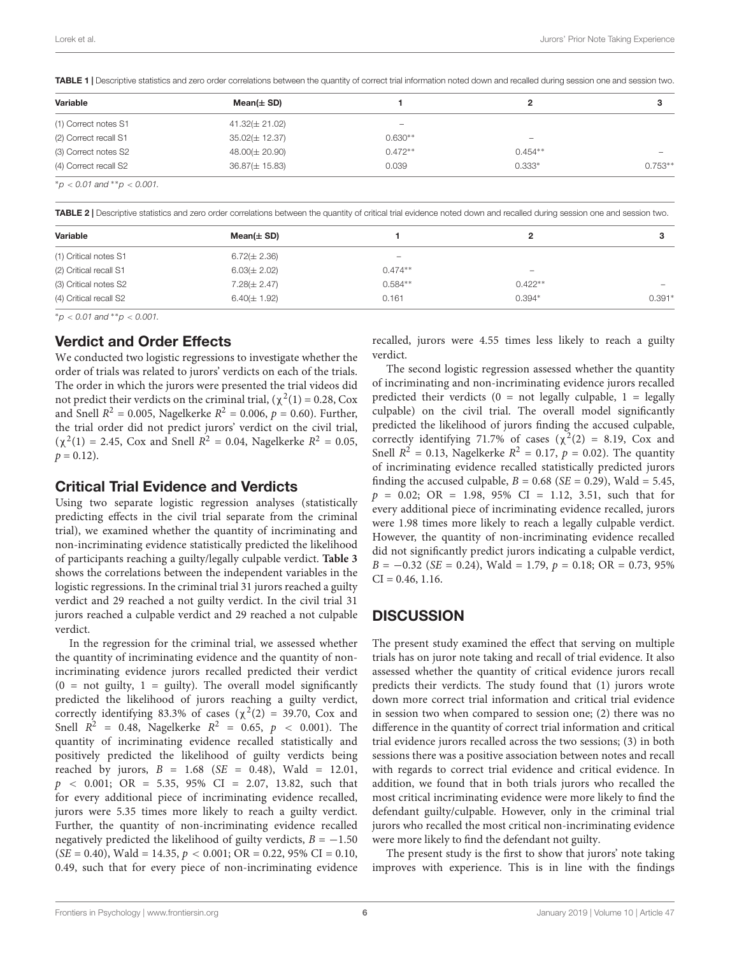<span id="page-5-0"></span>TABLE 1 | Descriptive statistics and zero order correlations between the quantity of correct trial information noted down and recalled during session one and session two.

| Variable              | $Mean(\pm SD)$      |                          |                          |                          |
|-----------------------|---------------------|--------------------------|--------------------------|--------------------------|
| (1) Correct notes S1  | $41.32(\pm 21.02)$  | $\overline{\phantom{0}}$ |                          |                          |
| (2) Correct recall S1 | $35.02 (\pm 12.37)$ | $0.630**$                | $\overline{\phantom{a}}$ |                          |
| (3) Correct notes S2  | $48.00(\pm 20.90)$  | $0.472**$                | $0.454**$                | $\overline{\phantom{a}}$ |
| (4) Correct recall S2 | $36.87(\pm 15.83)$  | 0.039                    | $0.333*$                 | $0.753**$                |
| .                     |                     |                          |                          |                          |

 $**p* < 0.01$  and  $**p* < 0.001$ .

<span id="page-5-1"></span>TABLE 2 | Descriptive statistics and zero order correlations between the quantity of critical trial evidence noted down and recalled during session one and session two.

| Variable               | Mean $(\pm$ SD)   |                          | ے                        |                          |
|------------------------|-------------------|--------------------------|--------------------------|--------------------------|
| (1) Critical notes S1  | $6.72(\pm 2.36)$  | $\overline{\phantom{0}}$ |                          |                          |
| (2) Critical recall S1 | $6.03 (\pm 2.02)$ | $0.474**$                | $\overline{\phantom{a}}$ |                          |
| (3) Critical notes S2  | $7.28(\pm 2.47)$  | $0.584**$                | $0.422**$                | $\overline{\phantom{a}}$ |
| (4) Critical recall S2 | $6.40 (\pm 1.92)$ | 0.161                    | $0.394*$                 | $0.391*$                 |

 $*p < 0.01$  and  $*p < 0.001$ .

#### Verdict and Order Effects

We conducted two logistic regressions to investigate whether the order of trials was related to jurors' verdicts on each of the trials. The order in which the jurors were presented the trial videos did not predict their verdicts on the criminal trial, ( $\chi^2(1) = 0.28$ , Cox and Snell  $R^2 = 0.005$ , Nagelkerke  $R^2 = 0.006$ ,  $p = 0.60$ ). Further, the trial order did not predict jurors' verdict on the civil trial,  $(χ<sup>2</sup>(1) = 2.45, Cox and Snell *R*<sup>2</sup> = 0.04, Nagelkerke *R*<sup>2</sup> = 0.05,$  $p = 0.12$ ).

#### Critical Trial Evidence and Verdicts

Using two separate logistic regression analyses (statistically predicting effects in the civil trial separate from the criminal trial), we examined whether the quantity of incriminating and non-incriminating evidence statistically predicted the likelihood of participants reaching a guilty/legally culpable verdict. **[Table 3](#page-6-0)** shows the correlations between the independent variables in the logistic regressions. In the criminal trial 31 jurors reached a guilty verdict and 29 reached a not guilty verdict. In the civil trial 31 jurors reached a culpable verdict and 29 reached a not culpable verdict.

In the regression for the criminal trial, we assessed whether the quantity of incriminating evidence and the quantity of nonincriminating evidence jurors recalled predicted their verdict  $(0 = not guilty, 1 = guilty).$  The overall model significantly predicted the likelihood of jurors reaching a guilty verdict, correctly identifying 83.3% of cases ( $\chi^2(2) = 39.70$ , Cox and Snell  $R^2 = 0.48$ , Nagelkerke  $R^2 = 0.65$ ,  $p < 0.001$ ). The quantity of incriminating evidence recalled statistically and positively predicted the likelihood of guilty verdicts being reached by jurors,  $B = 1.68$  (SE = 0.48), Wald = 12.01,  $p \le 0.001$ ; OR = 5.35, 95% CI = 2.07, 13.82, such that for every additional piece of incriminating evidence recalled, jurors were 5.35 times more likely to reach a guilty verdict. Further, the quantity of non-incriminating evidence recalled negatively predicted the likelihood of guilty verdicts,  $B = -1.50$  $(SE = 0.40)$ , Wald = 14.35,  $p < 0.001$ ; OR = 0.22, 95% CI = 0.10, 0.49, such that for every piece of non-incriminating evidence

recalled, jurors were 4.55 times less likely to reach a guilty verdict.

The second logistic regression assessed whether the quantity of incriminating and non-incriminating evidence jurors recalled predicted their verdicts  $(0 = not$  legally culpable,  $1 =$  legally culpable) on the civil trial. The overall model significantly predicted the likelihood of jurors finding the accused culpable, correctly identifying 71.7% of cases ( $\chi^2(2) = 8.19$ , Cox and Snell  $R^2 = 0.13$ , Nagelkerke  $R^2 = 0.17$ ,  $p = 0.02$ ). The quantity of incriminating evidence recalled statistically predicted jurors finding the accused culpable,  $B = 0.68$  ( $SE = 0.29$ ), Wald = 5.45,  $p = 0.02$ ; OR = 1.98, 95% CI = 1.12, 3.51, such that for every additional piece of incriminating evidence recalled, jurors were 1.98 times more likely to reach a legally culpable verdict. However, the quantity of non-incriminating evidence recalled did not significantly predict jurors indicating a culpable verdict,  $B = -0.32$  (SE = 0.24), Wald = 1.79,  $p = 0.18$ ; OR = 0.73, 95%  $CI = 0.46, 1.16.$ 

### **DISCUSSION**

The present study examined the effect that serving on multiple trials has on juror note taking and recall of trial evidence. It also assessed whether the quantity of critical evidence jurors recall predicts their verdicts. The study found that (1) jurors wrote down more correct trial information and critical trial evidence in session two when compared to session one; (2) there was no difference in the quantity of correct trial information and critical trial evidence jurors recalled across the two sessions; (3) in both sessions there was a positive association between notes and recall with regards to correct trial evidence and critical evidence. In addition, we found that in both trials jurors who recalled the most critical incriminating evidence were more likely to find the defendant guilty/culpable. However, only in the criminal trial jurors who recalled the most critical non-incriminating evidence were more likely to find the defendant not guilty.

The present study is the first to show that jurors' note taking improves with experience. This is in line with the findings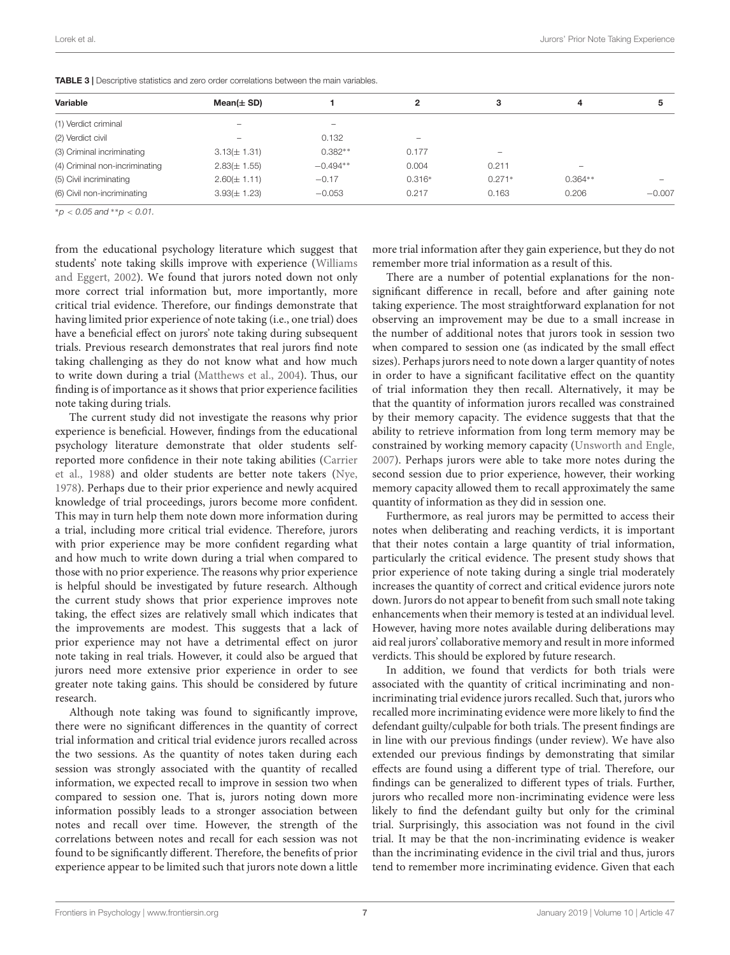| Variable                       | Mean $(\pm$ SD)  |                          |                                                                           | 3        | 4                        | 5        |  |
|--------------------------------|------------------|--------------------------|---------------------------------------------------------------------------|----------|--------------------------|----------|--|
| (1) Verdict criminal           | -                | $\overline{\phantom{0}}$ |                                                                           |          |                          |          |  |
| (2) Verdict civil              |                  | 0.132                    | $\hspace{1.0cm} \rule{1.5cm}{0.15cm} \hspace{1.0cm} \rule{1.5cm}{0.15cm}$ |          |                          |          |  |
| (3) Criminal incriminating     | $3.13(\pm 1.31)$ | $0.382**$                | 0.177                                                                     | -        |                          |          |  |
| (4) Criminal non-incriminating | $2.83(\pm 1.55)$ | $-0.494**$               | 0.004                                                                     | 0.211    | $\overline{\phantom{a}}$ |          |  |
| (5) Civil incriminating        | $2.60(\pm 1.11)$ | $-0.17$                  | $0.316*$                                                                  | $0.271*$ | $0.364**$                | -        |  |
| (6) Civil non-incriminating    | $3.93(\pm 1.23)$ | $-0.053$                 | 0.217                                                                     | 0.163    | 0.206                    | $-0.007$ |  |

<span id="page-6-0"></span>TABLE 3 | Descriptive statistics and zero order correlations between the main variables

 $*_{D}$  < 0.05 and  $*_{D}$  < 0.01.

from the educational psychology literature which suggest that students' note taking skills improve with experience [\(Williams](#page-8-13) [and Eggert,](#page-8-13) [2002\)](#page-8-13). We found that jurors noted down not only more correct trial information but, more importantly, more critical trial evidence. Therefore, our findings demonstrate that having limited prior experience of note taking (i.e., one trial) does have a beneficial effect on jurors' note taking during subsequent trials. Previous research demonstrates that real jurors find note taking challenging as they do not know what and how much to write down during a trial [\(Matthews et al.,](#page-8-9) [2004\)](#page-8-9). Thus, our finding is of importance as it shows that prior experience facilities note taking during trials.

The current study did not investigate the reasons why prior experience is beneficial. However, findings from the educational psychology literature demonstrate that older students selfreported more confidence in their note taking abilities [\(Carrier](#page-7-10) [et al.,](#page-7-10) [1988\)](#page-7-10) and older students are better note takers [\(Nye,](#page-8-11) [1978\)](#page-8-11). Perhaps due to their prior experience and newly acquired knowledge of trial proceedings, jurors become more confident. This may in turn help them note down more information during a trial, including more critical trial evidence. Therefore, jurors with prior experience may be more confident regarding what and how much to write down during a trial when compared to those with no prior experience. The reasons why prior experience is helpful should be investigated by future research. Although the current study shows that prior experience improves note taking, the effect sizes are relatively small which indicates that the improvements are modest. This suggests that a lack of prior experience may not have a detrimental effect on juror note taking in real trials. However, it could also be argued that jurors need more extensive prior experience in order to see greater note taking gains. This should be considered by future research.

Although note taking was found to significantly improve, there were no significant differences in the quantity of correct trial information and critical trial evidence jurors recalled across the two sessions. As the quantity of notes taken during each session was strongly associated with the quantity of recalled information, we expected recall to improve in session two when compared to session one. That is, jurors noting down more information possibly leads to a stronger association between notes and recall over time. However, the strength of the correlations between notes and recall for each session was not found to be significantly different. Therefore, the benefits of prior experience appear to be limited such that jurors note down a little

more trial information after they gain experience, but they do not remember more trial information as a result of this.

There are a number of potential explanations for the nonsignificant difference in recall, before and after gaining note taking experience. The most straightforward explanation for not observing an improvement may be due to a small increase in the number of additional notes that jurors took in session two when compared to session one (as indicated by the small effect sizes). Perhaps jurors need to note down a larger quantity of notes in order to have a significant facilitative effect on the quantity of trial information they then recall. Alternatively, it may be that the quantity of information jurors recalled was constrained by their memory capacity. The evidence suggests that that the ability to retrieve information from long term memory may be constrained by working memory capacity [\(Unsworth and Engle,](#page-8-18) [2007\)](#page-8-18). Perhaps jurors were able to take more notes during the second session due to prior experience, however, their working memory capacity allowed them to recall approximately the same quantity of information as they did in session one.

Furthermore, as real jurors may be permitted to access their notes when deliberating and reaching verdicts, it is important that their notes contain a large quantity of trial information, particularly the critical evidence. The present study shows that prior experience of note taking during a single trial moderately increases the quantity of correct and critical evidence jurors note down. Jurors do not appear to benefit from such small note taking enhancements when their memory is tested at an individual level. However, having more notes available during deliberations may aid real jurors' collaborative memory and result in more informed verdicts. This should be explored by future research.

In addition, we found that verdicts for both trials were associated with the quantity of critical incriminating and nonincriminating trial evidence jurors recalled. Such that, jurors who recalled more incriminating evidence were more likely to find the defendant guilty/culpable for both trials. The present findings are in line with our previous findings (under review). We have also extended our previous findings by demonstrating that similar effects are found using a different type of trial. Therefore, our findings can be generalized to different types of trials. Further, jurors who recalled more non-incriminating evidence were less likely to find the defendant guilty but only for the criminal trial. Surprisingly, this association was not found in the civil trial. It may be that the non-incriminating evidence is weaker than the incriminating evidence in the civil trial and thus, jurors tend to remember more incriminating evidence. Given that each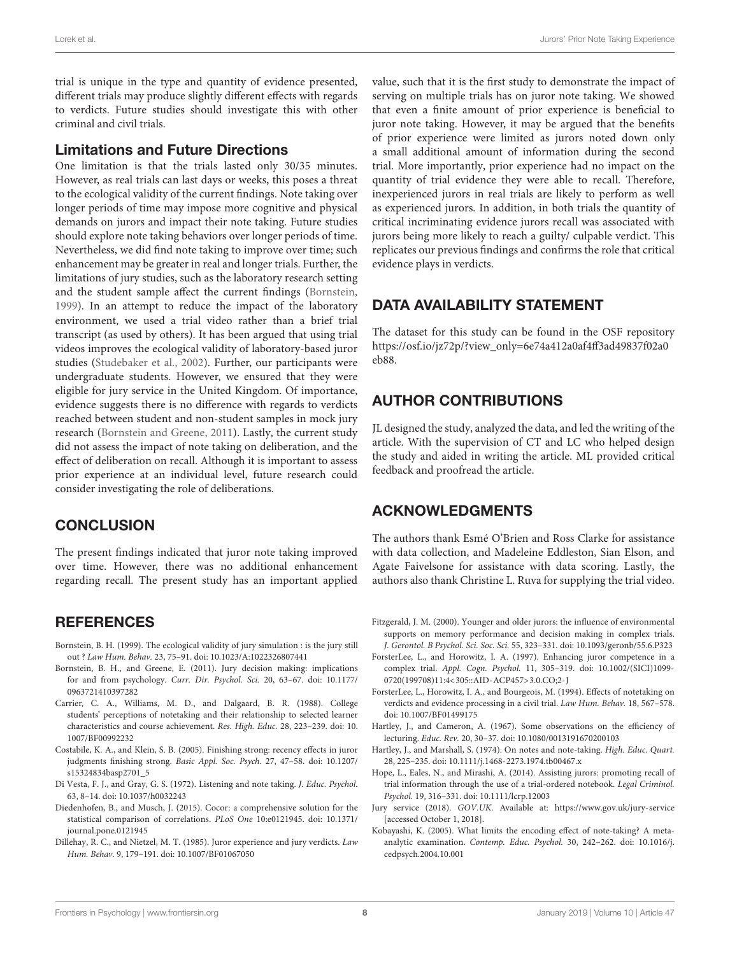trial is unique in the type and quantity of evidence presented, different trials may produce slightly different effects with regards to verdicts. Future studies should investigate this with other criminal and civil trials.

#### Limitations and Future Directions

One limitation is that the trials lasted only 30/35 minutes. However, as real trials can last days or weeks, this poses a threat to the ecological validity of the current findings. Note taking over longer periods of time may impose more cognitive and physical demands on jurors and impact their note taking. Future studies should explore note taking behaviors over longer periods of time. Nevertheless, we did find note taking to improve over time; such enhancement may be greater in real and longer trials. Further, the limitations of jury studies, such as the laboratory research setting and the student sample affect the current findings [\(Bornstein,](#page-7-14) [1999\)](#page-7-14). In an attempt to reduce the impact of the laboratory environment, we used a trial video rather than a brief trial transcript (as used by others). It has been argued that using trial videos improves the ecological validity of laboratory-based juror studies [\(Studebaker et al.,](#page-8-19) [2002\)](#page-8-19). Further, our participants were undergraduate students. However, we ensured that they were eligible for jury service in the United Kingdom. Of importance, evidence suggests there is no difference with regards to verdicts reached between student and non-student samples in mock jury research [\(Bornstein and Greene,](#page-7-12) [2011\)](#page-7-12). Lastly, the current study did not assess the impact of note taking on deliberation, and the effect of deliberation on recall. Although it is important to assess prior experience at an individual level, future research could consider investigating the role of deliberations.

# **CONCLUSION**

The present findings indicated that juror note taking improved over time. However, there was no additional enhancement regarding recall. The present study has an important applied

# **REFERENCES**

- <span id="page-7-14"></span>Bornstein, B. H. (1999). The ecological validity of jury simulation : is the jury still out ? Law Hum. Behav. 23, 75–91. [doi: 10.1023/A:1022326807441](https://doi.org/10.1023/A:1022326807441)
- <span id="page-7-12"></span>Bornstein, B. H., and Greene, E. (2011). Jury decision making: implications for and from psychology. Curr. Dir. Psychol. Sci. 20, 63–67. [doi: 10.1177/](https://doi.org/10.1177/0963721410397282) [0963721410397282](https://doi.org/10.1177/0963721410397282)
- <span id="page-7-10"></span>Carrier, C. A., Williams, M. D., and Dalgaard, B. R. (1988). College students' perceptions of notetaking and their relationship to selected learner characteristics and course achievement. Res. High. Educ. 28, 223–239. [doi: 10.](https://doi.org/10.1007/BF00992232) [1007/BF00992232](https://doi.org/10.1007/BF00992232)
- <span id="page-7-11"></span>Costabile, K. A., and Klein, S. B. (2005). Finishing strong: recency effects in juror judgments finishing strong. Basic Appl. Soc. Psych. 27, 47–58. [doi: 10.1207/](https://doi.org/10.1207/s15324834basp2701_5) [s15324834basp2701\\_5](https://doi.org/10.1207/s15324834basp2701_5)
- <span id="page-7-3"></span>Di Vesta, F. J., and Gray, G. S. (1972). Listening and note taking. J. Educ. Psychol. 63, 8–14. [doi: 10.1037/h0032243](https://doi.org/10.1037/h0032243)
- <span id="page-7-13"></span>Diedenhofen, B., and Musch, J. (2015). Cocor: a comprehensive solution for the statistical comparison of correlations. PLoS One 10:e0121945. [doi: 10.1371/](https://doi.org/10.1371/journal.pone.0121945) [journal.pone.0121945](https://doi.org/10.1371/journal.pone.0121945)
- <span id="page-7-7"></span>Dillehay, R. C., and Nietzel, M. T. (1985). Juror experience and jury verdicts. Law Hum. Behav. 9, 179–191. [doi: 10.1007/BF01067050](https://doi.org/10.1007/BF01067050)

value, such that it is the first study to demonstrate the impact of serving on multiple trials has on juror note taking. We showed that even a finite amount of prior experience is beneficial to juror note taking. However, it may be argued that the benefits of prior experience were limited as jurors noted down only a small additional amount of information during the second trial. More importantly, prior experience had no impact on the quantity of trial evidence they were able to recall. Therefore, inexperienced jurors in real trials are likely to perform as well as experienced jurors. In addition, in both trials the quantity of critical incriminating evidence jurors recall was associated with jurors being more likely to reach a guilty/ culpable verdict. This replicates our previous findings and confirms the role that critical evidence plays in verdicts.

# DATA AVAILABILITY STATEMENT

The dataset for this study can be found in the OSF repository [https://osf.io/jz72p/?view\\_only=6e74a412a0af4ff3ad49837f02a0](https://osf.io/jz72p/?view_only=6e74a412a0af4ff3ad49837f02a0eb88) [eb88.](https://osf.io/jz72p/?view_only=6e74a412a0af4ff3ad49837f02a0eb88)

# AUTHOR CONTRIBUTIONS

JL designed the study, analyzed the data, and led the writing of the article. With the supervision of CT and LC who helped design the study and aided in writing the article. ML provided critical feedback and proofread the article.

# ACKNOWLEDGMENTS

The authors thank Esmé O'Brien and Ross Clarke for assistance with data collection, and Madeleine Eddleston, Sian Elson, and Agate Faivelsone for assistance with data scoring. Lastly, the authors also thank Christine L. Ruva for supplying the trial video.

- <span id="page-7-0"></span>Fitzgerald, J. M. (2000). Younger and older jurors: the influence of environmental supports on memory performance and decision making in complex trials. J. Gerontol. B Psychol. Sci. Soc. Sci. 55, 323–331. [doi: 10.1093/geronb/55.6.P323](https://doi.org/10.1093/geronb/55.6.P323)
- <span id="page-7-1"></span>ForsterLee, L., and Horowitz, I. A. (1997). Enhancing juror competence in a complex trial. Appl. Cogn. Psychol. 11, 305–319. [doi: 10.1002/\(SICI\)1099-](https://doi.org/10.1002/(SICI)1099-0720(199708)11:4<305::AID-ACP457>3.0.CO;2-J) [0720\(199708\)11:4<305::AID-ACP457>3.0.CO;2-J](https://doi.org/10.1002/(SICI)1099-0720(199708)11:4<305::AID-ACP457>3.0.CO;2-J)
- <span id="page-7-5"></span>ForsterLee, L., Horowitz, I. A., and Bourgeois, M. (1994). Effects of notetaking on verdicts and evidence processing in a civil trial. Law Hum. Behav. 18, 567–578. [doi: 10.1007/BF01499175](https://doi.org/10.1007/BF01499175)
- <span id="page-7-9"></span>Hartley, J., and Cameron, A. (1967). Some observations on the efficiency of lecturing. Educ. Rev. 20, 30–37. [doi: 10.1080/0013191670200103](https://doi.org/10.1080/0013191670200103)
- <span id="page-7-8"></span>Hartley, J., and Marshall, S. (1974). On notes and note-taking. High. Educ. Quart. 28, 225–235. [doi: 10.1111/j.1468-2273.1974.tb00467.x](https://doi.org/10.1111/j.1468-2273.1974.tb00467.x)
- <span id="page-7-2"></span>Hope, L., Eales, N., and Mirashi, A. (2014). Assisting jurors: promoting recall of trial information through the use of a trial-ordered notebook. Legal Criminol. Psychol. 19, 316–331. [doi: 10.1111/lcrp.12003](https://doi.org/10.1111/lcrp.12003)
- <span id="page-7-6"></span>Jury service (2018). GOV.UK. Available at: <https://www.gov.uk/jury-service> [accessed October 1, 2018].
- <span id="page-7-4"></span>Kobayashi, K. (2005). What limits the encoding effect of note-taking? A metaanalytic examination. Contemp. Educ. Psychol. 30, 242–262. [doi: 10.1016/j.](https://doi.org/10.1016/j.cedpsych.2004.10.001) [cedpsych.2004.10.001](https://doi.org/10.1016/j.cedpsych.2004.10.001)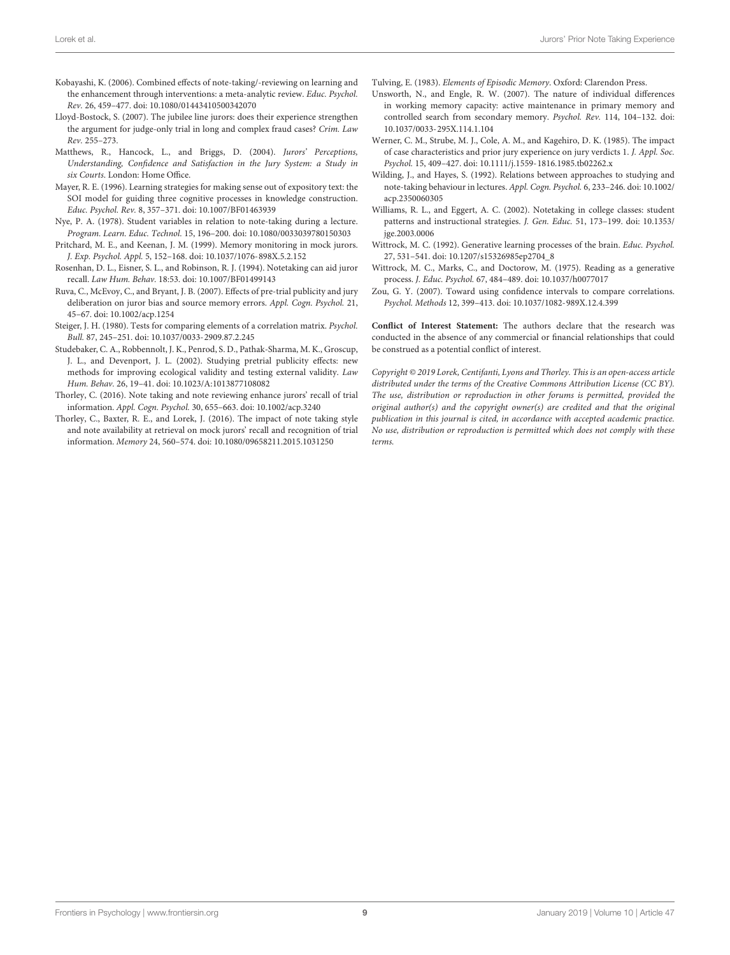- <span id="page-8-4"></span>Kobayashi, K. (2006). Combined effects of note-taking/-reviewing on learning and the enhancement through interventions: a meta-analytic review. Educ. Psychol. Rev. 26, 459–477. [doi: 10.1080/01443410500342070](https://doi.org/10.1080/01443410500342070)
- <span id="page-8-15"></span>Lloyd-Bostock, S. (2007). The jubilee line jurors: does their experience strengthen the argument for judge-only trial in long and complex fraud cases? Crim. Law Rev. 255–273.
- <span id="page-8-9"></span>Matthews, R., Hancock, L., and Briggs, D. (2004). Jurors' Perceptions, Understanding, Confidence and Satisfaction in the Jury System: a Study in six Courts. London: Home Office.
- <span id="page-8-8"></span>Mayer, R. E. (1996). Learning strategies for making sense out of expository text: the SOI model for guiding three cognitive processes in knowledge construction. Educ. Psychol. Rev. 8, 357–371. [doi: 10.1007/BF01463939](https://doi.org/10.1007/BF01463939)
- <span id="page-8-11"></span>Nye, P. A. (1978). Student variables in relation to note-taking during a lecture. Program. Learn. Educ. Technol. 15, 196–200. [doi: 10.1080/0033039780150303](https://doi.org/10.1080/0033039780150303)
- <span id="page-8-1"></span>Pritchard, M. E., and Keenan, J. M. (1999). Memory monitoring in mock jurors. J. Exp. Psychol. Appl. 5, 152–168. [doi: 10.1037/1076-898X.5.2.152](https://doi.org/10.1037/1076-898X.5.2.152)
- <span id="page-8-0"></span>Rosenhan, D. L., Eisner, S. L., and Robinson, R. J. (1994). Notetaking can aid juror recall. Law Hum. Behav. 18:53. [doi: 10.1007/BF01499143](https://doi.org/10.1007/BF01499143)
- <span id="page-8-14"></span>Ruva, C., McEvoy, C., and Bryant, J. B. (2007). Effects of pre-trial publicity and jury deliberation on juror bias and source memory errors. Appl. Cogn. Psychol. 21, 45–67. [doi: 10.1002/acp.1254](https://doi.org/10.1002/acp.1254)
- <span id="page-8-16"></span>Steiger, J. H. (1980). Tests for comparing elements of a correlation matrix. Psychol. Bull. 87, 245–251. [doi: 10.1037/0033-2909.87.2.245](https://doi.org/10.1037/0033-2909.87.2.245)
- <span id="page-8-19"></span>Studebaker, C. A., Robbennolt, J. K., Penrod, S. D., Pathak-Sharma, M. K., Groscup, J. L., and Devenport, J. L. (2002). Studying pretrial publicity effects: new methods for improving ecological validity and testing external validity. Law Hum. Behav. 26, 19–41. [doi: 10.1023/A:1013877108082](https://doi.org/10.1023/A:1013877108082)
- <span id="page-8-2"></span>Thorley, C. (2016). Note taking and note reviewing enhance jurors' recall of trial information. Appl. Cogn. Psychol. 30, 655–663. [doi: 10.1002/acp.3240](https://doi.org/10.1002/acp.3240)
- <span id="page-8-3"></span>Thorley, C., Baxter, R. E., and Lorek, J. (2016). The impact of note taking style and note availability at retrieval on mock jurors' recall and recognition of trial information. Memory 24, 560–574. [doi: 10.1080/09658211.2015.1031250](https://doi.org/10.1080/09658211.2015.1031250)

<span id="page-8-7"></span>Tulving, E. (1983). Elements of Episodic Memory. Oxford: Clarendon Press.

- <span id="page-8-18"></span>Unsworth, N., and Engle, R. W. (2007). The nature of individual differences in working memory capacity: active maintenance in primary memory and controlled search from secondary memory. Psychol. Rev. 114, 104–132. [doi:](https://doi.org/10.1037/0033-295X.114.1.104) [10.1037/0033-295X.114.1.104](https://doi.org/10.1037/0033-295X.114.1.104)
- <span id="page-8-10"></span>Werner, C. M., Strube, M. J., Cole, A. M., and Kagehiro, D. K. (1985). The impact of case characteristics and prior jury experience on jury verdicts 1. J. Appl. Soc. Psychol. 15, 409–427. [doi: 10.1111/j.1559-1816.1985.tb02262.x](https://doi.org/10.1111/j.1559-1816.1985.tb02262.x)
- <span id="page-8-12"></span>Wilding, J., and Hayes, S. (1992). Relations between approaches to studying and note-taking behaviour in lectures. Appl. Cogn. Psychol. 6, 233–246. [doi: 10.1002/](https://doi.org/10.1002/acp.2350060305) [acp.2350060305](https://doi.org/10.1002/acp.2350060305)
- <span id="page-8-13"></span>Williams, R. L., and Eggert, A. C. (2002). Notetaking in college classes: student patterns and instructional strategies. J. Gen. Educ. 51, 173–199. [doi: 10.1353/](https://doi.org/10.1353/jge.2003.0006) [jge.2003.0006](https://doi.org/10.1353/jge.2003.0006)
- <span id="page-8-6"></span>Wittrock, M. C. (1992). Generative learning processes of the brain. Educ. Psychol. 27, 531–541. [doi: 10.1207/s15326985ep2704\\_8](https://doi.org/10.1207/s15326985ep2704_8)
- <span id="page-8-5"></span>Wittrock, M. C., Marks, C., and Doctorow, M. (1975). Reading as a generative process. J. Educ. Psychol. 67, 484–489. [doi: 10.1037/h0077017](https://doi.org/10.1037/h0077017)
- <span id="page-8-17"></span>Zou, G. Y. (2007). Toward using confidence intervals to compare correlations. Psychol. Methods 12, 399–413. [doi: 10.1037/1082-989X.12.4.399](https://doi.org/10.1037/1082-989X.12.4.399)

**Conflict of Interest Statement:** The authors declare that the research was conducted in the absence of any commercial or financial relationships that could be construed as a potential conflict of interest.

Copyright © 2019 Lorek, Centifanti, Lyons and Thorley. This is an open-access article distributed under the terms of the [Creative](http://creativecommons.org/licenses/by/4.0/) [Commons](http://creativecommons.org/licenses/by/4.0/) [Attribution](http://creativecommons.org/licenses/by/4.0/) [License](http://creativecommons.org/licenses/by/4.0/) [\(CC BY\).](http://creativecommons.org/licenses/by/4.0/) The use, distribution or reproduction in other forums is permitted, provided the original author(s) and the copyright owner(s) are credited and that the original publication in this journal is cited, in accordance with accepted academic practice. No use, distribution or reproduction is permitted which does not comply with these terms.